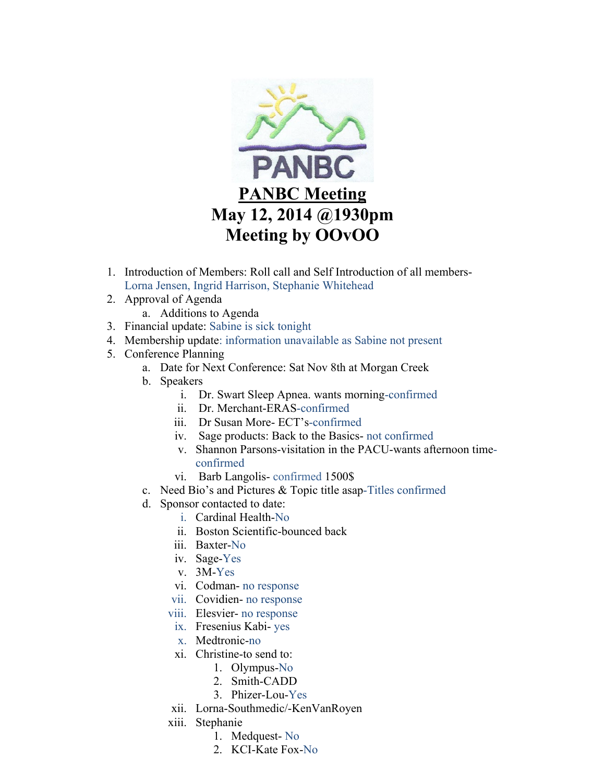

- 1. Introduction of Members: Roll call and Self Introduction of all members-Lorna Jensen, Ingrid Harrison, Stephanie Whitehead
- 2. Approval of Agenda
	- a. Additions to Agenda
- 3. Financial update: Sabine is sick tonight
- 4. Membership update: information unavailable as Sabine not present
- 5. Conference Planning
	- a. Date for Next Conference: Sat Nov 8th at Morgan Creek
	- b. Speakers
		- i. Dr. Swart Sleep Apnea. wants morning-confirmed
		- ii. Dr. Merchant-ERAS-confirmed
		- iii. Dr Susan More- ECT's-confirmed
		- iv. Sage products: Back to the Basics- not confirmed
		- v. Shannon Parsons-visitation in the PACU-wants afternoon timeconfirmed
		- vi. Barb Langolis- confirmed 1500\$
	- c. Need Bio's and Pictures & Topic title asap-Titles confirmed
	- d. Sponsor contacted to date:
		- i. Cardinal Health-No
		- ii. Boston Scientific-bounced back
		- iii. Baxter-No
		- iv. Sage-Yes
		- v. 3M-Yes
		- vi. Codman- no response
		- vii. Covidien- no response
		- viii. Elesvier- no response
		- ix. Fresenius Kabi- yes
		- x. Medtronic-no
		- xi. Christine-to send to:
			- 1. Olympus-No
			- 2. Smith-CADD
			- 3. Phizer-Lou-Yes
		- xii. Lorna-Southmedic/-KenVanRoyen
		- xiii. Stephanie
			- 1. Medquest- No
			- 2. KCI-Kate Fox-No